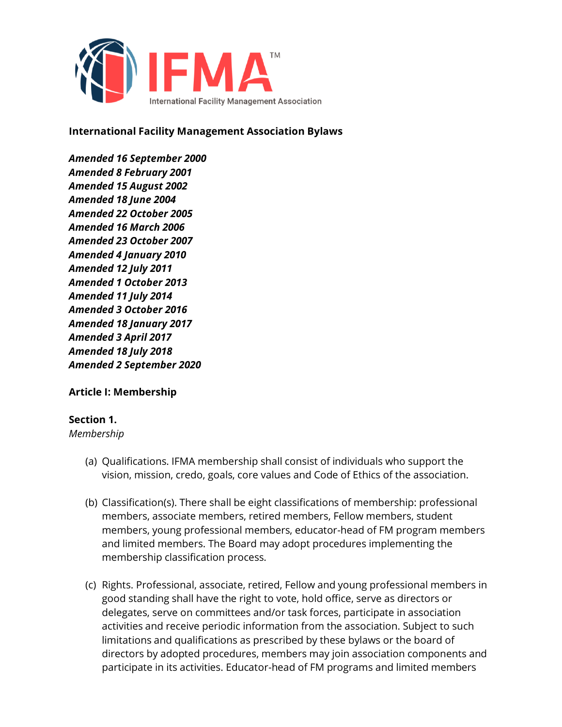

**International Facility Management Association Bylaws** 

*Amended 16 September 2000 Amended 8 February 2001 Amended 15 August 2002 Amended 18 June 2004 Amended 22 October 2005 Amended 16 March 2006 Amended 23 October 2007 Amended 4 January 2010 Amended 12 July 2011 Amended 1 October 2013 Amended 11 July 2014 Amended 3 October 2016 Amended 18 January 2017 Amended 3 April 2017 Amended 18 July 2018 Amended 2 September 2020*

**Article I: Membership**

#### **Section 1.**

*Membership*

- (a) Qualifications. IFMA membership shall consist of individuals who support the vision, mission, credo, goals, core values and Code of Ethics of the association.
- (b) Classification(s). There shall be eight classifications of membership: professional members, associate members, retired members, Fellow members, student members, young professional members, educator-head of FM program members and limited members. The Board may adopt procedures implementing the membership classification process.
- (c) Rights. Professional, associate, retired, Fellow and young professional members in good standing shall have the right to vote, hold office, serve as directors or delegates, serve on committees and/or task forces, participate in association activities and receive periodic information from the association. Subject to such limitations and qualifications as prescribed by these bylaws or the board of directors by adopted procedures, members may join association components and participate in its activities. Educator-head of FM programs and limited members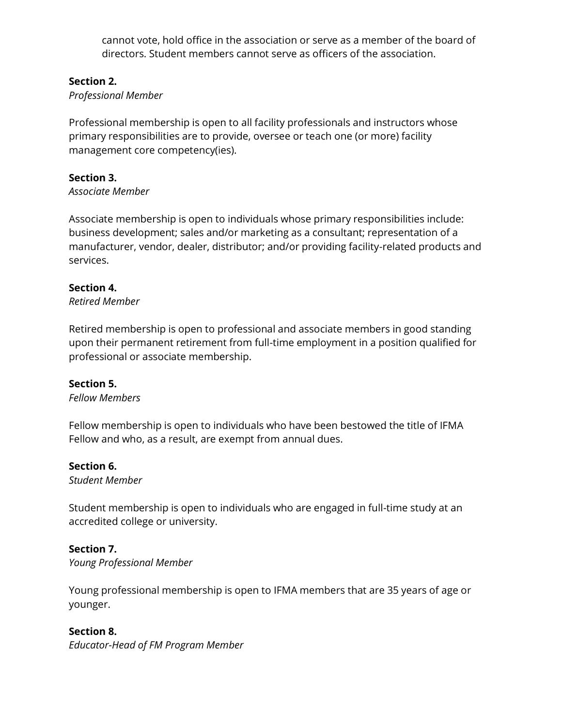cannot vote, hold office in the association or serve as a member of the board of directors. Student members cannot serve as officers of the association.

### **Section 2.**

### *Professional Member*

Professional membership is open to all facility professionals and instructors whose primary responsibilities are to provide, oversee or teach one (or more) facility management core competency(ies).

### **Section 3.**

#### *Associate Member*

Associate membership is open to individuals whose primary responsibilities include: business development; sales and/or marketing as a consultant; representation of a manufacturer, vendor, dealer, distributor; and/or providing facility-related products and services.

#### **Section 4.**

*Retired Member*

Retired membership is open to professional and associate members in good standing upon their permanent retirement from full-time employment in a position qualified for professional or associate membership.

#### **Section 5.**

*Fellow Members*

Fellow membership is open to individuals who have been bestowed the title of IFMA Fellow and who, as a result, are exempt from annual dues.

#### **Section 6.**

*Student Member*

Student membership is open to individuals who are engaged in full-time study at an accredited college or university.

#### **Section 7.**

*Young Professional Member*

Young professional membership is open to IFMA members that are 35 years of age or younger.

#### **Section 8.**

*Educator-Head of FM Program Member*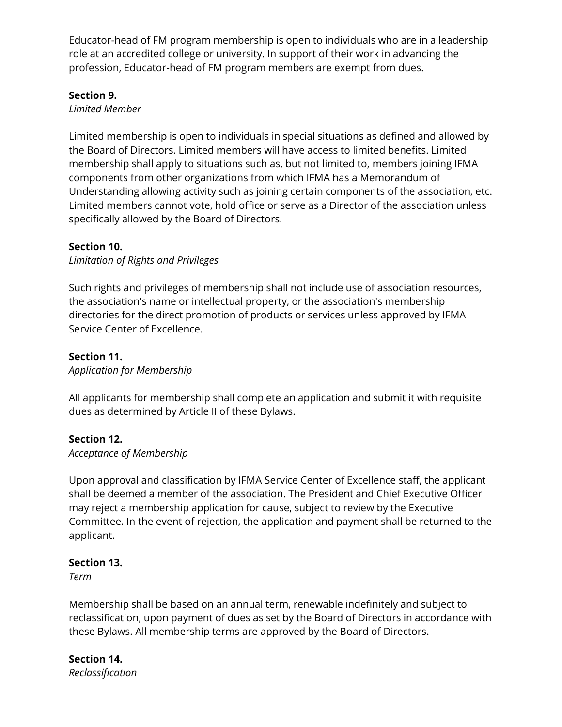Educator-head of FM program membership is open to individuals who are in a leadership role at an accredited college or university. In support of their work in advancing the profession, Educator-head of FM program members are exempt from dues.

### **Section 9.**

### *Limited Member*

Limited membership is open to individuals in special situations as defined and allowed by the Board of Directors. Limited members will have access to limited benefits. Limited membership shall apply to situations such as, but not limited to, members joining IFMA components from other organizations from which IFMA has a Memorandum of Understanding allowing activity such as joining certain components of the association, etc. Limited members cannot vote, hold office or serve as a Director of the association unless specifically allowed by the Board of Directors.

### **Section 10.**

*Limitation of Rights and Privileges*

Such rights and privileges of membership shall not include use of association resources, the association's name or intellectual property, or the association's membership directories for the direct promotion of products or services unless approved by IFMA Service Center of Excellence.

# **Section 11.**

*Application for Membership*

All applicants for membership shall complete an application and submit it with requisite dues as determined by Article II of these Bylaws.

# **Section 12.**

*Acceptance of Membership*

Upon approval and classification by IFMA Service Center of Excellence staff, the applicant shall be deemed a member of the association. The President and Chief Executive Officer may reject a membership application for cause, subject to review by the Executive Committee. In the event of rejection, the application and payment shall be returned to the applicant.

# **Section 13.**

*Term*

Membership shall be based on an annual term, renewable indefinitely and subject to reclassification, upon payment of dues as set by the Board of Directors in accordance with these Bylaws. All membership terms are approved by the Board of Directors.

**Section 14.** *Reclassification*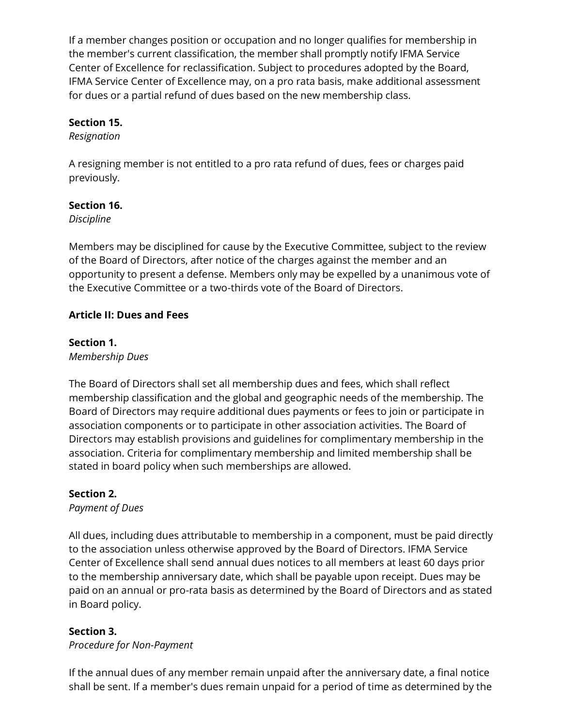If a member changes position or occupation and no longer qualifies for membership in the member's current classification, the member shall promptly notify IFMA Service Center of Excellence for reclassification. Subject to procedures adopted by the Board, IFMA Service Center of Excellence may, on a pro rata basis, make additional assessment for dues or a partial refund of dues based on the new membership class.

### **Section 15.**

*Resignation*

A resigning member is not entitled to a pro rata refund of dues, fees or charges paid previously.

### **Section 16.**

*Discipline*

Members may be disciplined for cause by the Executive Committee, subject to the review of the Board of Directors, after notice of the charges against the member and an opportunity to present a defense. Members only may be expelled by a unanimous vote of the Executive Committee or a two-thirds vote of the Board of Directors.

# **Article II: Dues and Fees**

# **Section 1.**

*Membership Dues*

The Board of Directors shall set all membership dues and fees, which shall reflect membership classification and the global and geographic needs of the membership. The Board of Directors may require additional dues payments or fees to join or participate in association components or to participate in other association activities. The Board of Directors may establish provisions and guidelines for complimentary membership in the association. Criteria for complimentary membership and limited membership shall be stated in board policy when such memberships are allowed.

# **Section 2.**

*Payment of Dues*

All dues, including dues attributable to membership in a component, must be paid directly to the association unless otherwise approved by the Board of Directors. IFMA Service Center of Excellence shall send annual dues notices to all members at least 60 days prior to the membership anniversary date, which shall be payable upon receipt. Dues may be paid on an annual or pro-rata basis as determined by the Board of Directors and as stated in Board policy.

# **Section 3.**

*Procedure for Non-Payment*

If the annual dues of any member remain unpaid after the anniversary date, a final notice shall be sent. If a member's dues remain unpaid for a period of time as determined by the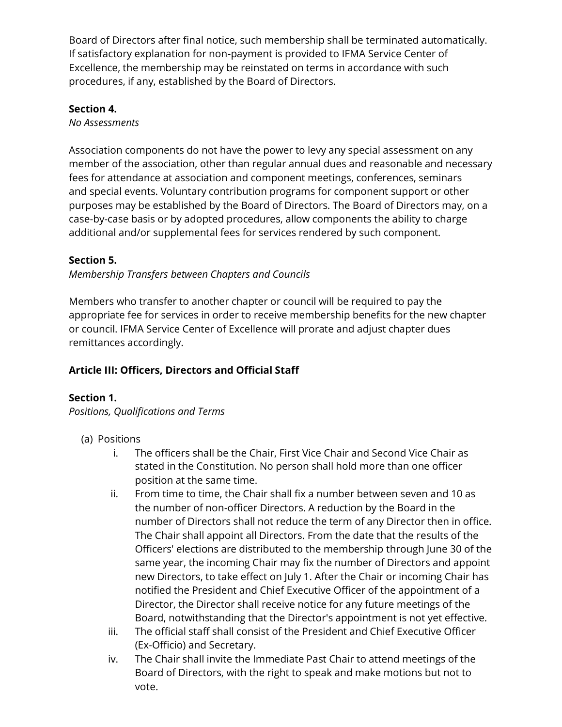Board of Directors after final notice, such membership shall be terminated automatically. If satisfactory explanation for non-payment is provided to IFMA Service Center of Excellence, the membership may be reinstated on terms in accordance with such procedures, if any, established by the Board of Directors.

### **Section 4.**

*No Assessments*

Association components do not have the power to levy any special assessment on any member of the association, other than regular annual dues and reasonable and necessary fees for attendance at association and component meetings, conferences, seminars and special events. Voluntary contribution programs for component support or other purposes may be established by the Board of Directors. The Board of Directors may, on a case-by-case basis or by adopted procedures, allow components the ability to charge additional and/or supplemental fees for services rendered by such component.

# **Section 5.**

*Membership Transfers between Chapters and Councils* 

Members who transfer to another chapter or council will be required to pay the appropriate fee for services in order to receive membership benefits for the new chapter or council. IFMA Service Center of Excellence will prorate and adjust chapter dues remittances accordingly.

# **Article III: Officers, Directors and Official Staff**

# **Section 1.**

*Positions, Qualifications and Terms*

- (a) Positions
	- i. The officers shall be the Chair, First Vice Chair and Second Vice Chair as stated in the Constitution. No person shall hold more than one officer position at the same time.
	- ii. From time to time, the Chair shall fix a number between seven and 10 as the number of non-officer Directors. A reduction by the Board in the number of Directors shall not reduce the term of any Director then in office. The Chair shall appoint all Directors. From the date that the results of the Officers' elections are distributed to the membership through June 30 of the same year, the incoming Chair may fix the number of Directors and appoint new Directors, to take effect on July 1. After the Chair or incoming Chair has notified the President and Chief Executive Officer of the appointment of a Director, the Director shall receive notice for any future meetings of the Board, notwithstanding that the Director's appointment is not yet effective.
	- iii. The official staff shall consist of the President and Chief Executive Officer (Ex-Officio) and Secretary.
	- iv. The Chair shall invite the Immediate Past Chair to attend meetings of the Board of Directors, with the right to speak and make motions but not to vote.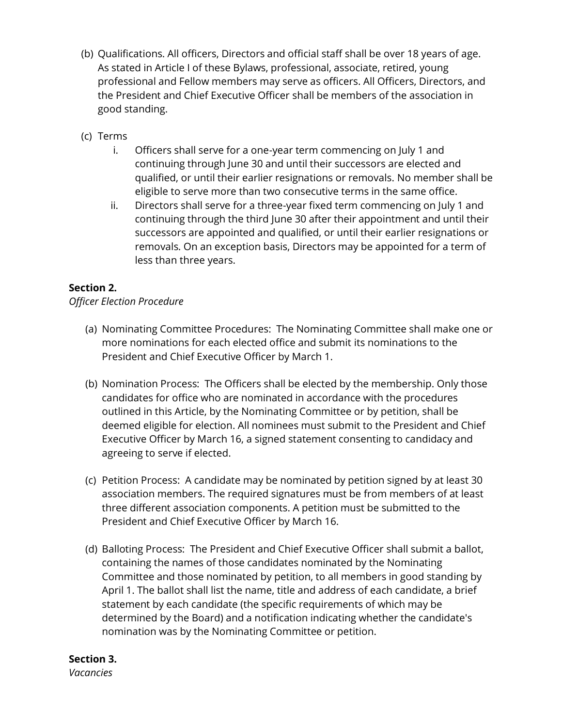- (b) Qualifications. All officers, Directors and official staff shall be over 18 years of age. As stated in Article I of these Bylaws, professional, associate, retired, young professional and Fellow members may serve as officers. All Officers, Directors, and the President and Chief Executive Officer shall be members of the association in good standing.
- (c) Terms
	- i. Officers shall serve for a one-year term commencing on July 1 and continuing through June 30 and until their successors are elected and qualified, or until their earlier resignations or removals. No member shall be eligible to serve more than two consecutive terms in the same office.
	- ii. Directors shall serve for a three-year fixed term commencing on July 1 and continuing through the third June 30 after their appointment and until their successors are appointed and qualified, or until their earlier resignations or removals. On an exception basis, Directors may be appointed for a term of less than three years.

# **Section 2.**

#### *Officer Election Procedure*

- (a) Nominating Committee Procedures: The Nominating Committee shall make one or more nominations for each elected office and submit its nominations to the President and Chief Executive Officer by March 1.
- (b) Nomination Process: The Officers shall be elected by the membership. Only those candidates for office who are nominated in accordance with the procedures outlined in this Article, by the Nominating Committee or by petition, shall be deemed eligible for election. All nominees must submit to the President and Chief Executive Officer by March 16, a signed statement consenting to candidacy and agreeing to serve if elected.
- (c) Petition Process: A candidate may be nominated by petition signed by at least 30 association members. The required signatures must be from members of at least three different association components. A petition must be submitted to the President and Chief Executive Officer by March 16.
- (d) Balloting Process: The President and Chief Executive Officer shall submit a ballot, containing the names of those candidates nominated by the Nominating Committee and those nominated by petition, to all members in good standing by April 1. The ballot shall list the name, title and address of each candidate, a brief statement by each candidate (the specific requirements of which may be determined by the Board) and a notification indicating whether the candidate's nomination was by the Nominating Committee or petition.

# **Section 3.**

*Vacancies*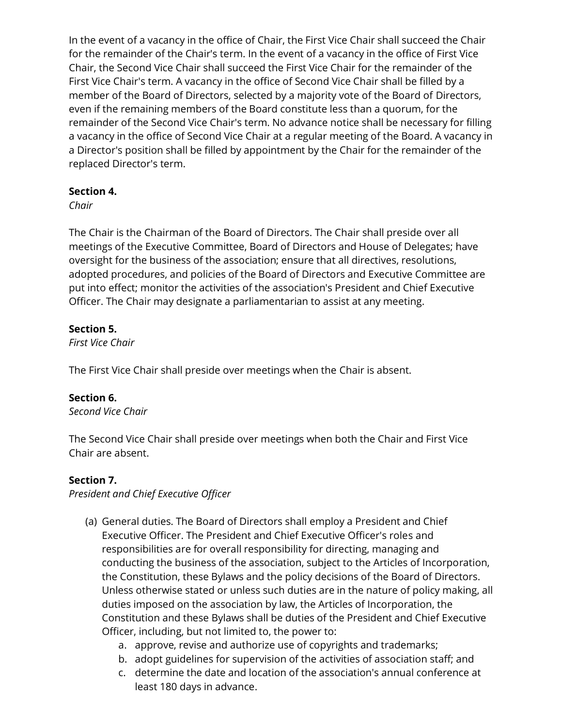In the event of a vacancy in the office of Chair, the First Vice Chair shall succeed the Chair for the remainder of the Chair's term. In the event of a vacancy in the office of First Vice Chair, the Second Vice Chair shall succeed the First Vice Chair for the remainder of the First Vice Chair's term. A vacancy in the office of Second Vice Chair shall be filled by a member of the Board of Directors, selected by a majority vote of the Board of Directors, even if the remaining members of the Board constitute less than a quorum, for the remainder of the Second Vice Chair's term. No advance notice shall be necessary for filling a vacancy in the office of Second Vice Chair at a regular meeting of the Board. A vacancy in a Director's position shall be filled by appointment by the Chair for the remainder of the replaced Director's term.

### **Section 4.**

*Chair*

The Chair is the Chairman of the Board of Directors. The Chair shall preside over all meetings of the Executive Committee, Board of Directors and House of Delegates; have oversight for the business of the association; ensure that all directives, resolutions, adopted procedures, and policies of the Board of Directors and Executive Committee are put into effect; monitor the activities of the association's President and Chief Executive Officer. The Chair may designate a parliamentarian to assist at any meeting.

# **Section 5.**

*First Vice Chair*

The First Vice Chair shall preside over meetings when the Chair is absent.

# **Section 6.**

*Second Vice Chair*

The Second Vice Chair shall preside over meetings when both the Chair and First Vice Chair are absent.

# **Section 7.**

*President and Chief Executive Officer* 

- (a) General duties. The Board of Directors shall employ a President and Chief Executive Officer. The President and Chief Executive Officer's roles and responsibilities are for overall responsibility for directing, managing and conducting the business of the association, subject to the Articles of Incorporation, the Constitution, these Bylaws and the policy decisions of the Board of Directors. Unless otherwise stated or unless such duties are in the nature of policy making, all duties imposed on the association by law, the Articles of Incorporation, the Constitution and these Bylaws shall be duties of the President and Chief Executive Officer, including, but not limited to, the power to:
	- a. approve, revise and authorize use of copyrights and trademarks;
	- b. adopt guidelines for supervision of the activities of association staff; and
	- c. determine the date and location of the association's annual conference at least 180 days in advance.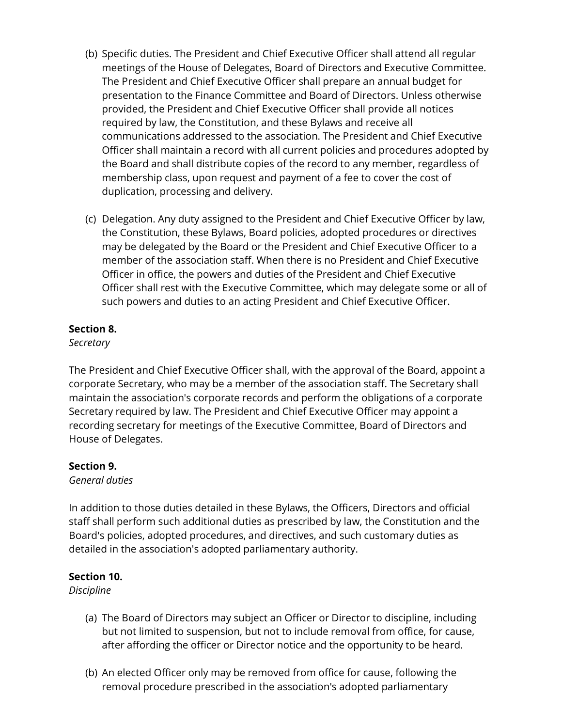- (b) Specific duties. The President and Chief Executive Officer shall attend all regular meetings of the House of Delegates, Board of Directors and Executive Committee. The President and Chief Executive Officer shall prepare an annual budget for presentation to the Finance Committee and Board of Directors. Unless otherwise provided, the President and Chief Executive Officer shall provide all notices required by law, the Constitution, and these Bylaws and receive all communications addressed to the association. The President and Chief Executive Officer shall maintain a record with all current policies and procedures adopted by the Board and shall distribute copies of the record to any member, regardless of membership class, upon request and payment of a fee to cover the cost of duplication, processing and delivery.
- (c) Delegation. Any duty assigned to the President and Chief Executive Officer by law, the Constitution, these Bylaws, Board policies, adopted procedures or directives may be delegated by the Board or the President and Chief Executive Officer to a member of the association staff. When there is no President and Chief Executive Officer in office, the powers and duties of the President and Chief Executive Officer shall rest with the Executive Committee, which may delegate some or all of such powers and duties to an acting President and Chief Executive Officer.

### **Section 8.**

### *Secretary*

The President and Chief Executive Officer shall, with the approval of the Board, appoint a corporate Secretary, who may be a member of the association staff. The Secretary shall maintain the association's corporate records and perform the obligations of a corporate Secretary required by law. The President and Chief Executive Officer may appoint a recording secretary for meetings of the Executive Committee, Board of Directors and House of Delegates.

# **Section 9.**

#### *General duties*

In addition to those duties detailed in these Bylaws, the Officers, Directors and official staff shall perform such additional duties as prescribed by law, the Constitution and the Board's policies, adopted procedures, and directives, and such customary duties as detailed in the association's adopted parliamentary authority.

# **Section 10.**

*Discipline*

- (a) The Board of Directors may subject an Officer or Director to discipline, including but not limited to suspension, but not to include removal from office, for cause, after affording the officer or Director notice and the opportunity to be heard.
- (b) An elected Officer only may be removed from office for cause, following the removal procedure prescribed in the association's adopted parliamentary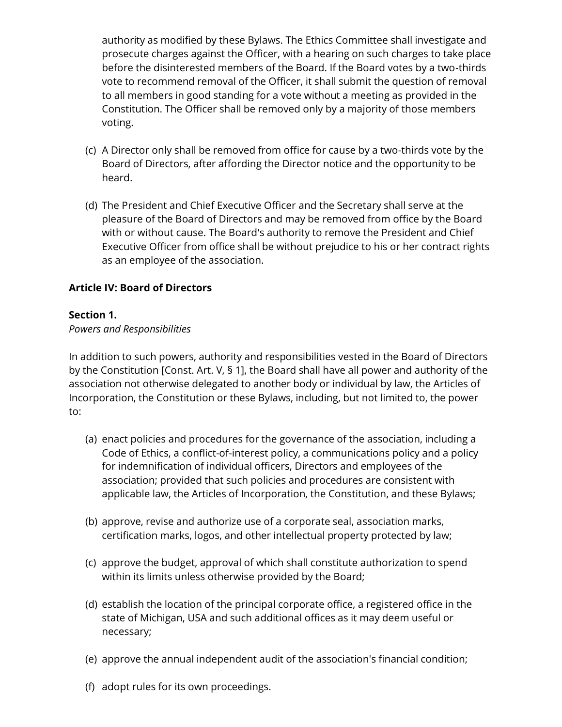authority as modified by these Bylaws. The Ethics Committee shall investigate and prosecute charges against the Officer, with a hearing on such charges to take place before the disinterested members of the Board. If the Board votes by a two-thirds vote to recommend removal of the Officer, it shall submit the question of removal to all members in good standing for a vote without a meeting as provided in the Constitution. The Officer shall be removed only by a majority of those members voting.

- (c) A Director only shall be removed from office for cause by a two-thirds vote by the Board of Directors, after affording the Director notice and the opportunity to be heard.
- (d) The President and Chief Executive Officer and the Secretary shall serve at the pleasure of the Board of Directors and may be removed from office by the Board with or without cause. The Board's authority to remove the President and Chief Executive Officer from office shall be without prejudice to his or her contract rights as an employee of the association.

# **Article IV: Board of Directors**

### **Section 1.**

#### *Powers and Responsibilities*

In addition to such powers, authority and responsibilities vested in the Board of Directors by the Constitution [Const. Art. V, § 1], the Board shall have all power and authority of the association not otherwise delegated to another body or individual by law, the Articles of Incorporation, the Constitution or these Bylaws, including, but not limited to, the power to:

- (a) enact policies and procedures for the governance of the association, including a Code of Ethics, a conflict-of-interest policy, a communications policy and a policy for indemnification of individual officers, Directors and employees of the association; provided that such policies and procedures are consistent with applicable law, the Articles of Incorporation, the Constitution, and these Bylaws;
- (b) approve, revise and authorize use of a corporate seal, association marks, certification marks, logos, and other intellectual property protected by law;
- (c) approve the budget, approval of which shall constitute authorization to spend within its limits unless otherwise provided by the Board;
- (d) establish the location of the principal corporate office, a registered office in the state of Michigan, USA and such additional offices as it may deem useful or necessary;
- (e) approve the annual independent audit of the association's financial condition;
- (f) adopt rules for its own proceedings.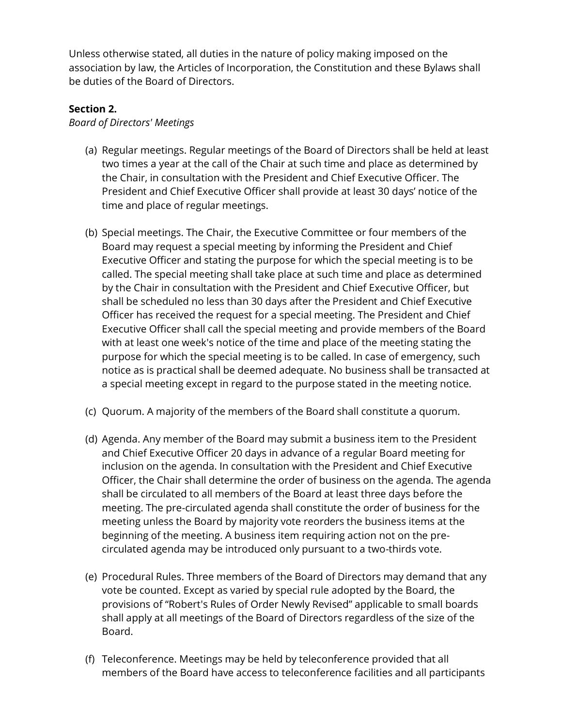Unless otherwise stated, all duties in the nature of policy making imposed on the association by law, the Articles of Incorporation, the Constitution and these Bylaws shall be duties of the Board of Directors.

#### **Section 2.**

*Board of Directors' Meetings*

- (a) Regular meetings. Regular meetings of the Board of Directors shall be held at least two times a year at the call of the Chair at such time and place as determined by the Chair, in consultation with the President and Chief Executive Officer. The President and Chief Executive Officer shall provide at least 30 days' notice of the time and place of regular meetings.
- (b) Special meetings. The Chair, the Executive Committee or four members of the Board may request a special meeting by informing the President and Chief Executive Officer and stating the purpose for which the special meeting is to be called. The special meeting shall take place at such time and place as determined by the Chair in consultation with the President and Chief Executive Officer, but shall be scheduled no less than 30 days after the President and Chief Executive Officer has received the request for a special meeting. The President and Chief Executive Officer shall call the special meeting and provide members of the Board with at least one week's notice of the time and place of the meeting stating the purpose for which the special meeting is to be called. In case of emergency, such notice as is practical shall be deemed adequate. No business shall be transacted at a special meeting except in regard to the purpose stated in the meeting notice.
- (c) Quorum. A majority of the members of the Board shall constitute a quorum.
- (d) Agenda. Any member of the Board may submit a business item to the President and Chief Executive Officer 20 days in advance of a regular Board meeting for inclusion on the agenda. In consultation with the President and Chief Executive Officer, the Chair shall determine the order of business on the agenda. The agenda shall be circulated to all members of the Board at least three days before the meeting. The pre-circulated agenda shall constitute the order of business for the meeting unless the Board by majority vote reorders the business items at the beginning of the meeting. A business item requiring action not on the precirculated agenda may be introduced only pursuant to a two-thirds vote.
- (e) Procedural Rules. Three members of the Board of Directors may demand that any vote be counted. Except as varied by special rule adopted by the Board, the provisions of "Robert's Rules of Order Newly Revised" applicable to small boards shall apply at all meetings of the Board of Directors regardless of the size of the Board.
- (f) Teleconference. Meetings may be held by teleconference provided that all members of the Board have access to teleconference facilities and all participants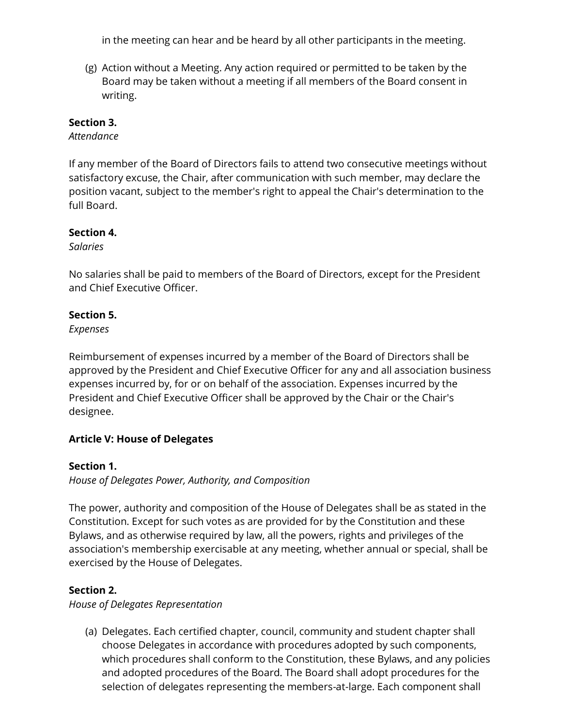in the meeting can hear and be heard by all other participants in the meeting.

(g) Action without a Meeting. Any action required or permitted to be taken by the Board may be taken without a meeting if all members of the Board consent in writing.

### **Section 3.**

*Attendance*

If any member of the Board of Directors fails to attend two consecutive meetings without satisfactory excuse, the Chair, after communication with such member, may declare the position vacant, subject to the member's right to appeal the Chair's determination to the full Board.

#### **Section 4.**

*Salaries*

No salaries shall be paid to members of the Board of Directors, except for the President and Chief Executive Officer.

#### **Section 5.**

*Expenses*

Reimbursement of expenses incurred by a member of the Board of Directors shall be approved by the President and Chief Executive Officer for any and all association business expenses incurred by, for or on behalf of the association. Expenses incurred by the President and Chief Executive Officer shall be approved by the Chair or the Chair's designee.

# **Article V: House of Delegates**

#### **Section 1.**

*House of Delegates Power, Authority, and Composition*

The power, authority and composition of the House of Delegates shall be as stated in the Constitution. Except for such votes as are provided for by the Constitution and these Bylaws, and as otherwise required by law, all the powers, rights and privileges of the association's membership exercisable at any meeting, whether annual or special, shall be exercised by the House of Delegates.

# **Section 2.**

*House of Delegates Representation*

(a) Delegates. Each certified chapter, council, community and student chapter shall choose Delegates in accordance with procedures adopted by such components, which procedures shall conform to the Constitution, these Bylaws, and any policies and adopted procedures of the Board. The Board shall adopt procedures for the selection of delegates representing the members-at-large. Each component shall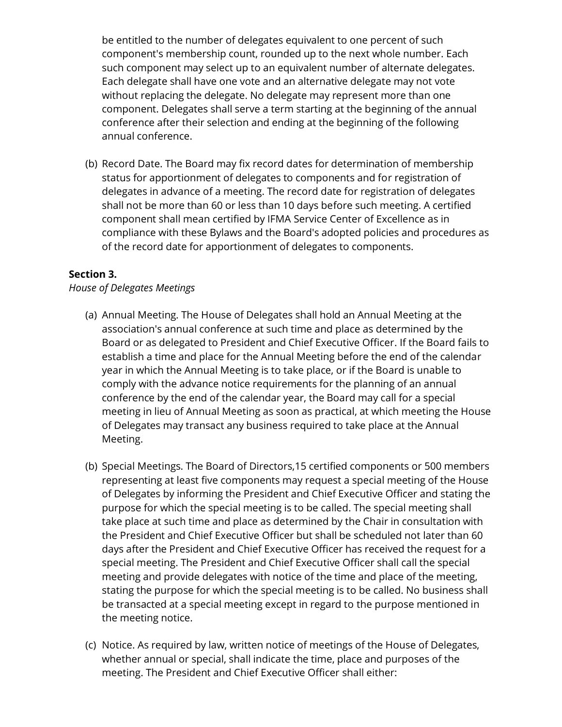be entitled to the number of delegates equivalent to one percent of such component's membership count, rounded up to the next whole number. Each such component may select up to an equivalent number of alternate delegates. Each delegate shall have one vote and an alternative delegate may not vote without replacing the delegate. No delegate may represent more than one component. Delegates shall serve a term starting at the beginning of the annual conference after their selection and ending at the beginning of the following annual conference.

(b) Record Date. The Board may fix record dates for determination of membership status for apportionment of delegates to components and for registration of delegates in advance of a meeting. The record date for registration of delegates shall not be more than 60 or less than 10 days before such meeting. A certified component shall mean certified by IFMA Service Center of Excellence as in compliance with these Bylaws and the Board's adopted policies and procedures as of the record date for apportionment of delegates to components.

### **Section 3.**

#### *House of Delegates Meetings*

- (a) Annual Meeting. The House of Delegates shall hold an Annual Meeting at the association's annual conference at such time and place as determined by the Board or as delegated to President and Chief Executive Officer. If the Board fails to establish a time and place for the Annual Meeting before the end of the calendar year in which the Annual Meeting is to take place, or if the Board is unable to comply with the advance notice requirements for the planning of an annual conference by the end of the calendar year, the Board may call for a special meeting in lieu of Annual Meeting as soon as practical, at which meeting the House of Delegates may transact any business required to take place at the Annual Meeting.
- (b) Special Meetings. The Board of Directors,15 certified components or 500 members representing at least five components may request a special meeting of the House of Delegates by informing the President and Chief Executive Officer and stating the purpose for which the special meeting is to be called. The special meeting shall take place at such time and place as determined by the Chair in consultation with the President and Chief Executive Officer but shall be scheduled not later than 60 days after the President and Chief Executive Officer has received the request for a special meeting. The President and Chief Executive Officer shall call the special meeting and provide delegates with notice of the time and place of the meeting, stating the purpose for which the special meeting is to be called. No business shall be transacted at a special meeting except in regard to the purpose mentioned in the meeting notice.
- (c) Notice. As required by law, written notice of meetings of the House of Delegates, whether annual or special, shall indicate the time, place and purposes of the meeting. The President and Chief Executive Officer shall either: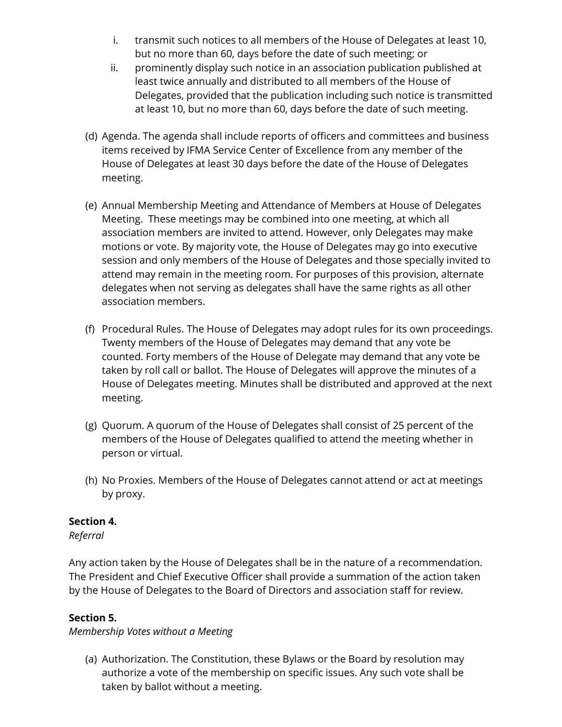- i. transmit such notices to all members of the House of Delegates at least 10, but no more than 60, days before the date of such meeting; or
- ii. prominently display such notice in an association publication published at least twice annually and distributed to all members of the House of Delegates, provided that the publication including such notice is transmitted at least 10, but no more than 60, days before the date of such meeting.
- (d) Agenda. The agenda shall include reports of officers and committees and business items received by IFMA Service Center of Excellence from any member of the House of Delegates at least 30 days before the date of the House of Delegates meeting.
- (e) Annual Membership Meeting and Attendance of Members at House of Delegates Meeting. These meetings may be combined into one meeting, at which all association members are invited to attend. However, only Delegates may make motions or vote. By majority vote, the House of Delegates may go into executive session and only members of the House of Delegates and those specially invited to attend may remain in the meeting room. For purposes of this provision, alternate delegates when not serving as delegates shall have the same rights as all other association members.
- (f) Procedural Rules. The House of Delegates may adopt rules for its own proceedings. Twenty members of the House of Delegates may demand that any vote be counted. Forty members of the House of Delegate may demand that any vote be taken by roll call or ballot. The House of Delegates will approve the minutes of a House of Delegates meeting. Minutes shall be distributed and approved at the next meeting.
- (g) Quorum. A quorum of the House of Delegates shall consist of 25 percent of the members of the House of Delegates qualified to attend the meeting whether in person or virtual.
- (h) No Proxies. Members of the House of Delegates cannot attend or act at meetings by proxy.

# **Section 4.**

*Referral*

Any action taken by the House of Delegates shall be in the nature of a recommendation. The President and Chief Executive Officer shall provide a summation of the action taken by the House of Delegates to the Board of Directors and association staff for review.

# **Section 5.**

*Membership Votes without a Meeting*

(a) Authorization. The Constitution, these Bylaws or the Board by resolution may authorize a vote of the membership on specific issues. Any such vote shall be taken by ballot without a meeting.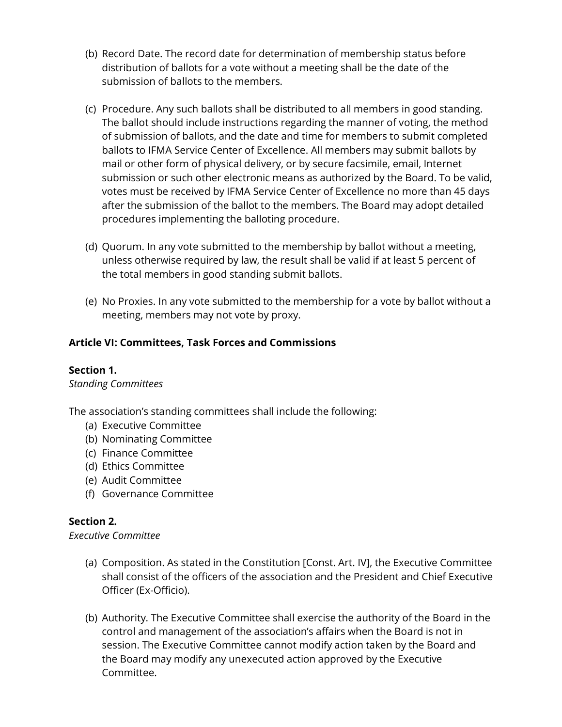- (b) Record Date. The record date for determination of membership status before distribution of ballots for a vote without a meeting shall be the date of the submission of ballots to the members.
- (c) Procedure. Any such ballots shall be distributed to all members in good standing. The ballot should include instructions regarding the manner of voting, the method of submission of ballots, and the date and time for members to submit completed ballots to IFMA Service Center of Excellence. All members may submit ballots by mail or other form of physical delivery, or by secure facsimile, email, Internet submission or such other electronic means as authorized by the Board. To be valid, votes must be received by IFMA Service Center of Excellence no more than 45 days after the submission of the ballot to the members. The Board may adopt detailed procedures implementing the balloting procedure.
- (d) Quorum. In any vote submitted to the membership by ballot without a meeting, unless otherwise required by law, the result shall be valid if at least 5 percent of the total members in good standing submit ballots.
- (e) No Proxies. In any vote submitted to the membership for a vote by ballot without a meeting, members may not vote by proxy.

# **Article VI: Committees, Task Forces and Commissions**

#### **Section 1.**

#### *Standing Committees*

The association's standing committees shall include the following:

- (a) Executive Committee
- (b) Nominating Committee
- (c) Finance Committee
- (d) Ethics Committee
- (e) Audit Committee
- (f) Governance Committee

#### **Section 2.**

*Executive Committee*

- (a) Composition. As stated in the Constitution [Const. Art. IV], the Executive Committee shall consist of the officers of the association and the President and Chief Executive Officer (Ex-Officio).
- (b) Authority. The Executive Committee shall exercise the authority of the Board in the control and management of the association's affairs when the Board is not in session. The Executive Committee cannot modify action taken by the Board and the Board may modify any unexecuted action approved by the Executive Committee.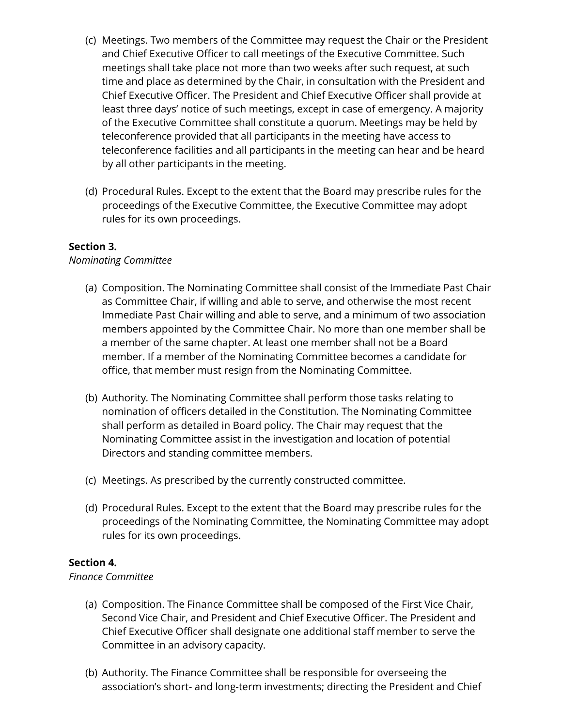- (c) Meetings. Two members of the Committee may request the Chair or the President and Chief Executive Officer to call meetings of the Executive Committee. Such meetings shall take place not more than two weeks after such request, at such time and place as determined by the Chair, in consultation with the President and Chief Executive Officer. The President and Chief Executive Officer shall provide at least three days' notice of such meetings, except in case of emergency. A majority of the Executive Committee shall constitute a quorum. Meetings may be held by teleconference provided that all participants in the meeting have access to teleconference facilities and all participants in the meeting can hear and be heard by all other participants in the meeting.
- (d) Procedural Rules. Except to the extent that the Board may prescribe rules for the proceedings of the Executive Committee, the Executive Committee may adopt rules for its own proceedings.

#### **Section 3.**

#### *Nominating Committee*

- (a) Composition. The Nominating Committee shall consist of the Immediate Past Chair as Committee Chair, if willing and able to serve, and otherwise the most recent Immediate Past Chair willing and able to serve, and a minimum of two association members appointed by the Committee Chair. No more than one member shall be a member of the same chapter. At least one member shall not be a Board member. If a member of the Nominating Committee becomes a candidate for office, that member must resign from the Nominating Committee.
- (b) Authority. The Nominating Committee shall perform those tasks relating to nomination of officers detailed in the Constitution. The Nominating Committee shall perform as detailed in Board policy. The Chair may request that the Nominating Committee assist in the investigation and location of potential Directors and standing committee members.
- (c) Meetings. As prescribed by the currently constructed committee.
- (d) Procedural Rules. Except to the extent that the Board may prescribe rules for the proceedings of the Nominating Committee, the Nominating Committee may adopt rules for its own proceedings.

#### **Section 4.**

#### *Finance Committee*

- (a) Composition. The Finance Committee shall be composed of the First Vice Chair, Second Vice Chair, and President and Chief Executive Officer. The President and Chief Executive Officer shall designate one additional staff member to serve the Committee in an advisory capacity.
- (b) Authority. The Finance Committee shall be responsible for overseeing the association's short- and long-term investments; directing the President and Chief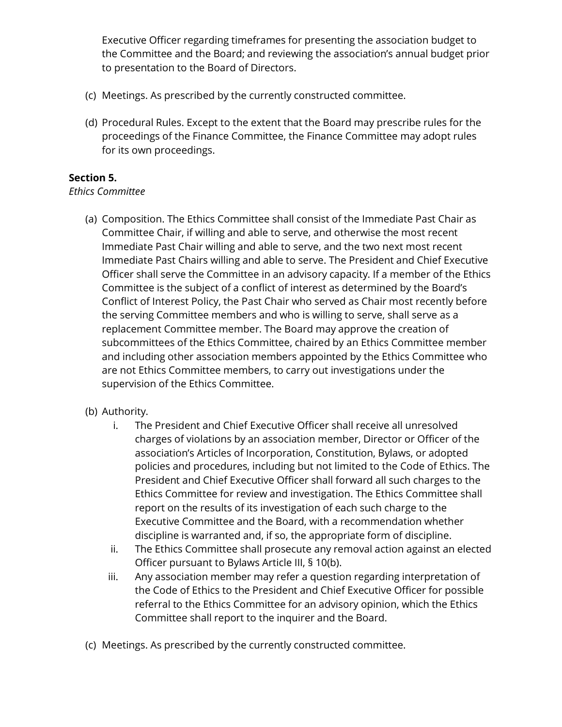Executive Officer regarding timeframes for presenting the association budget to the Committee and the Board; and reviewing the association's annual budget prior to presentation to the Board of Directors.

- (c) Meetings. As prescribed by the currently constructed committee.
- (d) Procedural Rules. Except to the extent that the Board may prescribe rules for the proceedings of the Finance Committee, the Finance Committee may adopt rules for its own proceedings.

### **Section 5.**

#### *Ethics Committee*

(a) Composition. The Ethics Committee shall consist of the Immediate Past Chair as Committee Chair, if willing and able to serve, and otherwise the most recent Immediate Past Chair willing and able to serve, and the two next most recent Immediate Past Chairs willing and able to serve. The President and Chief Executive Officer shall serve the Committee in an advisory capacity. If a member of the Ethics Committee is the subject of a conflict of interest as determined by the Board's Conflict of Interest Policy, the Past Chair who served as Chair most recently before the serving Committee members and who is willing to serve, shall serve as a replacement Committee member. The Board may approve the creation of subcommittees of the Ethics Committee, chaired by an Ethics Committee member and including other association members appointed by the Ethics Committee who are not Ethics Committee members, to carry out investigations under the supervision of the Ethics Committee.

# (b) Authority.

- i. The President and Chief Executive Officer shall receive all unresolved charges of violations by an association member, Director or Officer of the association's Articles of Incorporation, Constitution, Bylaws, or adopted policies and procedures, including but not limited to the Code of Ethics. The President and Chief Executive Officer shall forward all such charges to the Ethics Committee for review and investigation. The Ethics Committee shall report on the results of its investigation of each such charge to the Executive Committee and the Board, with a recommendation whether discipline is warranted and, if so, the appropriate form of discipline.
- ii. The Ethics Committee shall prosecute any removal action against an elected Officer pursuant to Bylaws Article III, § 10(b).
- iii. Any association member may refer a question regarding interpretation of the Code of Ethics to the President and Chief Executive Officer for possible referral to the Ethics Committee for an advisory opinion, which the Ethics Committee shall report to the inquirer and the Board.
- (c) Meetings. As prescribed by the currently constructed committee.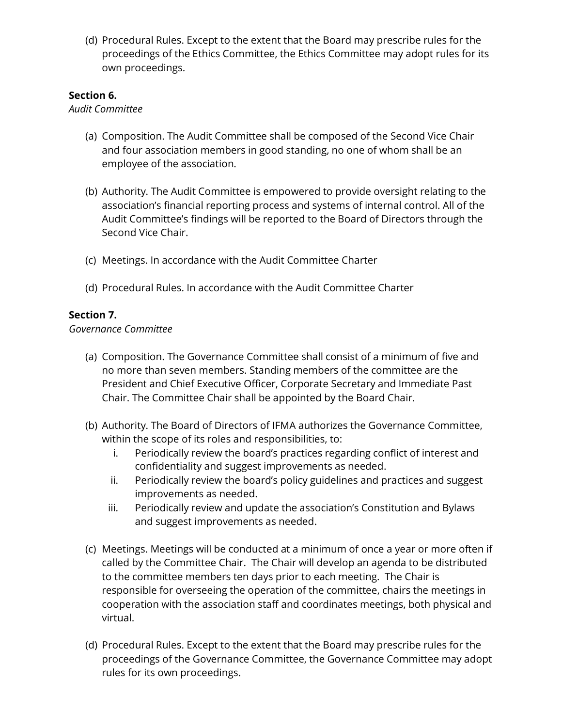(d) Procedural Rules. Except to the extent that the Board may prescribe rules for the proceedings of the Ethics Committee, the Ethics Committee may adopt rules for its own proceedings.

### **Section 6.**

#### *Audit Committee*

- (a) Composition. The Audit Committee shall be composed of the Second Vice Chair and four association members in good standing, no one of whom shall be an employee of the association.
- (b) Authority. The Audit Committee is empowered to provide oversight relating to the association's financial reporting process and systems of internal control. All of the Audit Committee's findings will be reported to the Board of Directors through the Second Vice Chair.
- (c) Meetings. In accordance with the Audit Committee Charter
- (d) Procedural Rules. In accordance with the Audit Committee Charter

### **Section 7.**

#### *Governance Committee*

- (a) Composition. The Governance Committee shall consist of a minimum of five and no more than seven members. Standing members of the committee are the President and Chief Executive Officer, Corporate Secretary and Immediate Past Chair. The Committee Chair shall be appointed by the Board Chair.
- (b) Authority. The Board of Directors of IFMA authorizes the Governance Committee, within the scope of its roles and responsibilities, to:
	- i. Periodically review the board's practices regarding conflict of interest and confidentiality and suggest improvements as needed.
	- ii. Periodically review the board's policy guidelines and practices and suggest improvements as needed.
	- iii. Periodically review and update the association's Constitution and Bylaws and suggest improvements as needed.
- (c) Meetings. Meetings will be conducted at a minimum of once a year or more often if called by the Committee Chair. The Chair will develop an agenda to be distributed to the committee members ten days prior to each meeting. The Chair is responsible for overseeing the operation of the committee, chairs the meetings in cooperation with the association staff and coordinates meetings, both physical and virtual.
- (d) Procedural Rules. Except to the extent that the Board may prescribe rules for the proceedings of the Governance Committee, the Governance Committee may adopt rules for its own proceedings.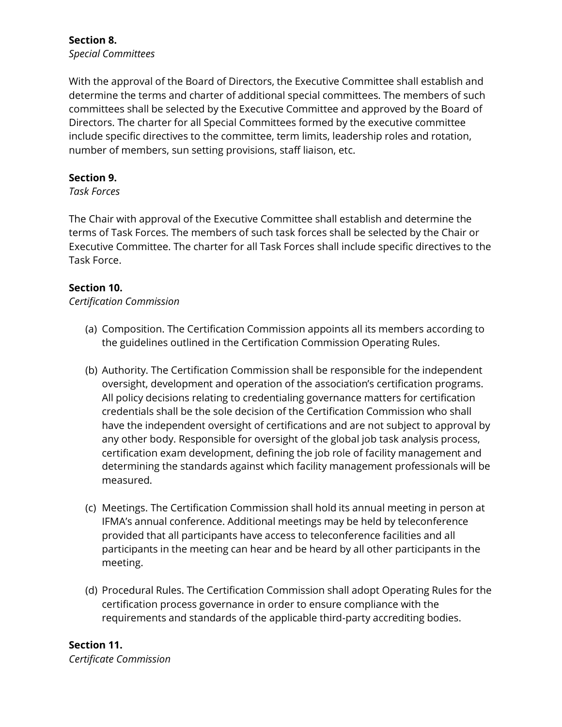### **Section 8.** *Special Committees*

With the approval of the Board of Directors, the Executive Committee shall establish and determine the terms and charter of additional special committees. The members of such committees shall be selected by the Executive Committee and approved by the Board of Directors. The charter for all Special Committees formed by the executive committee include specific directives to the committee, term limits, leadership roles and rotation, number of members, sun setting provisions, staff liaison, etc.

# **Section 9.**

#### *Task Forces*

The Chair with approval of the Executive Committee shall establish and determine the terms of Task Forces. The members of such task forces shall be selected by the Chair or Executive Committee. The charter for all Task Forces shall include specific directives to the Task Force.

### **Section 10.**

*Certification Commission*

- (a) Composition. The Certification Commission appoints all its members according to the guidelines outlined in the Certification Commission Operating Rules.
- (b) Authority. The Certification Commission shall be responsible for the independent oversight, development and operation of the association's certification programs. All policy decisions relating to credentialing governance matters for certification credentials shall be the sole decision of the Certification Commission who shall have the independent oversight of certifications and are not subject to approval by any other body. Responsible for oversight of the global job task analysis process, certification exam development, defining the job role of facility management and determining the standards against which facility management professionals will be measured.
- (c) Meetings. The Certification Commission shall hold its annual meeting in person at IFMA's annual conference. Additional meetings may be held by teleconference provided that all participants have access to teleconference facilities and all participants in the meeting can hear and be heard by all other participants in the meeting.
- (d) Procedural Rules. The Certification Commission shall adopt Operating Rules for the certification process governance in order to ensure compliance with the requirements and standards of the applicable third-party accrediting bodies.

#### **Section 11.** *Certificate Commission*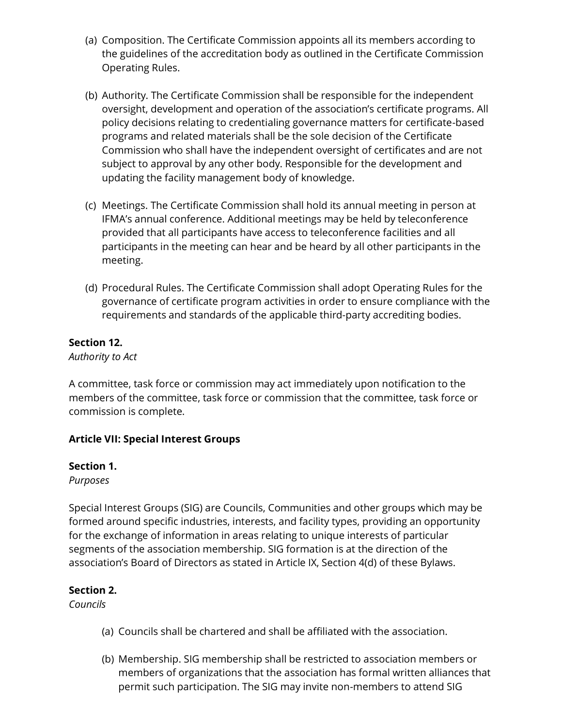- (a) Composition. The Certificate Commission appoints all its members according to the guidelines of the accreditation body as outlined in the Certificate Commission Operating Rules.
- (b) Authority. The Certificate Commission shall be responsible for the independent oversight, development and operation of the association's certificate programs. All policy decisions relating to credentialing governance matters for certificate-based programs and related materials shall be the sole decision of the Certificate Commission who shall have the independent oversight of certificates and are not subject to approval by any other body. Responsible for the development and updating the facility management body of knowledge.
- (c) Meetings. The Certificate Commission shall hold its annual meeting in person at IFMA's annual conference. Additional meetings may be held by teleconference provided that all participants have access to teleconference facilities and all participants in the meeting can hear and be heard by all other participants in the meeting.
- (d) Procedural Rules. The Certificate Commission shall adopt Operating Rules for the governance of certificate program activities in order to ensure compliance with the requirements and standards of the applicable third-party accrediting bodies.

### **Section 12.**

*Authority to Act*

A committee, task force or commission may act immediately upon notification to the members of the committee, task force or commission that the committee, task force or commission is complete.

# **Article VII: Special Interest Groups**

#### **Section 1.**

*Purposes*

Special Interest Groups (SIG) are Councils, Communities and other groups which may be formed around specific industries, interests, and facility types, providing an opportunity for the exchange of information in areas relating to unique interests of particular segments of the association membership. SIG formation is at the direction of the association's Board of Directors as stated in Article IX, Section 4(d) of these Bylaws.

#### **Section 2.**

*Councils*

- (a) Councils shall be chartered and shall be affiliated with the association.
- (b) Membership. SIG membership shall be restricted to association members or members of organizations that the association has formal written alliances that permit such participation. The SIG may invite non-members to attend SIG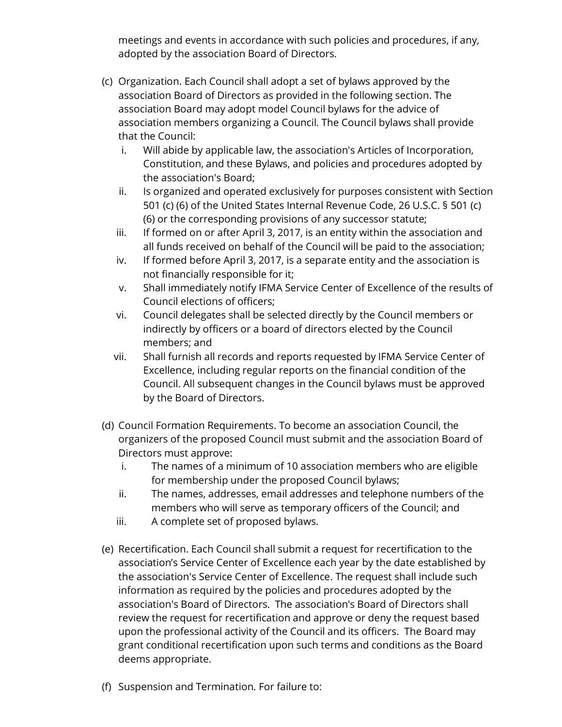meetings and events in accordance with such policies and procedures, if any, adopted by the association Board of Directors.

- (c) Organization. Each Council shall adopt a set of bylaws approved by the association Board of Directors as provided in the following section. The association Board may adopt model Council bylaws for the advice of association members organizing a Council. The Council bylaws shall provide that the Council:
	- i. Will abide by applicable law, the association's Articles of Incorporation, Constitution, and these Bylaws, and policies and procedures adopted by the association's Board;
	- ii. Is organized and operated exclusively for purposes consistent with Section 501 (c) (6) of the United States Internal Revenue Code, 26 U.S.C. § 501 (c) (6) or the corresponding provisions of any successor statute;
	- iii. If formed on or after April 3, 2017, is an entity within the association and all funds received on behalf of the Council will be paid to the association;
	- iv. If formed before April 3, 2017, is a separate entity and the association is not financially responsible for it;
	- v. Shall immediately notify IFMA Service Center of Excellence of the results of Council elections of officers;
	- vi. Council delegates shall be selected directly by the Council members or indirectly by officers or a board of directors elected by the Council members; and
	- vii. Shall furnish all records and reports requested by IFMA Service Center of Excellence, including regular reports on the financial condition of the Council. All subsequent changes in the Council bylaws must be approved by the Board of Directors.
- (d) Council Formation Requirements. To become an association Council, the organizers of the proposed Council must submit and the association Board of Directors must approve:
	- i. The names of a minimum of 10 association members who are eligible for membership under the proposed Council bylaws;
	- ii. The names, addresses, email addresses and telephone numbers of the members who will serve as temporary officers of the Council; and
	- iii. A complete set of proposed bylaws.
- (e) Recertification. Each Council shall submit a request for recertification to the association's Service Center of Excellence each year by the date established by the association's Service Center of Excellence. The request shall include such information as required by the policies and procedures adopted by the association's Board of Directors. The association's Board of Directors shall review the request for recertification and approve or deny the request based upon the professional activity of the Council and its officers. The Board may grant conditional recertification upon such terms and conditions as the Board deems appropriate.
- (f) Suspension and Termination*.* For failure to: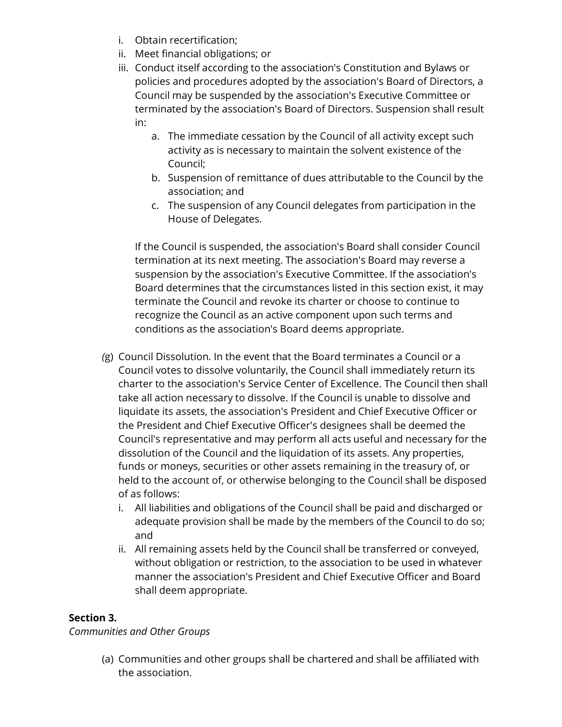- i. Obtain recertification;
- ii. Meet financial obligations; or
- iii. Conduct itself according to the association's Constitution and Bylaws or policies and procedures adopted by the association's Board of Directors, a Council may be suspended by the association's Executive Committee or terminated by the association's Board of Directors. Suspension shall result in:
	- a. The immediate cessation by the Council of all activity except such activity as is necessary to maintain the solvent existence of the Council;
	- b. Suspension of remittance of dues attributable to the Council by the association; and
	- c. The suspension of any Council delegates from participation in the House of Delegates.

If the Council is suspended, the association's Board shall consider Council termination at its next meeting. The association's Board may reverse a suspension by the association's Executive Committee. If the association's Board determines that the circumstances listed in this section exist, it may terminate the Council and revoke its charter or choose to continue to recognize the Council as an active component upon such terms and conditions as the association's Board deems appropriate.

- *(*g) Council Dissolution*.* In the event that the Board terminates a Council or a Council votes to dissolve voluntarily, the Council shall immediately return its charter to the association's Service Center of Excellence. The Council then shall take all action necessary to dissolve. If the Council is unable to dissolve and liquidate its assets, the association's President and Chief Executive Officer or the President and Chief Executive Officer's designees shall be deemed the Council's representative and may perform all acts useful and necessary for the dissolution of the Council and the liquidation of its assets. Any properties, funds or moneys, securities or other assets remaining in the treasury of, or held to the account of, or otherwise belonging to the Council shall be disposed of as follows:
	- i. All liabilities and obligations of the Council shall be paid and discharged or adequate provision shall be made by the members of the Council to do so; and
	- ii. All remaining assets held by the Council shall be transferred or conveyed, without obligation or restriction, to the association to be used in whatever manner the association's President and Chief Executive Officer and Board shall deem appropriate.

# **Section 3.**

*Communities and Other Groups*

(a) Communities and other groups shall be chartered and shall be affiliated with the association.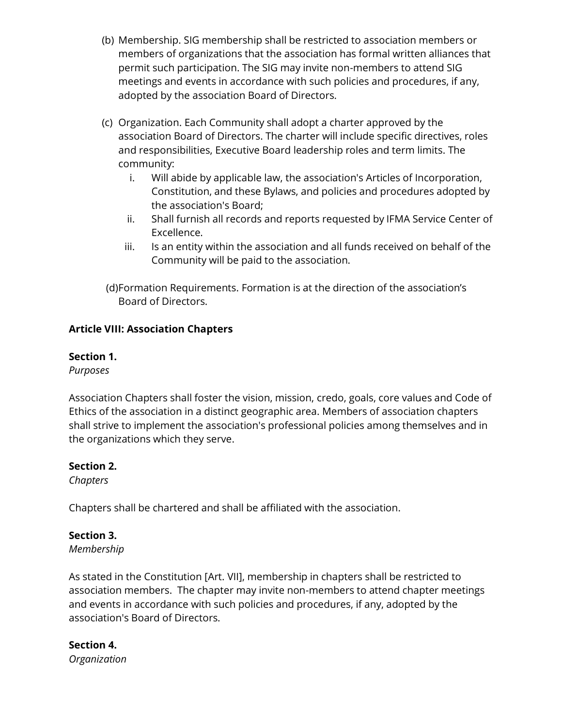- (b) Membership. SIG membership shall be restricted to association members or members of organizations that the association has formal written alliances that permit such participation. The SIG may invite non-members to attend SIG meetings and events in accordance with such policies and procedures, if any, adopted by the association Board of Directors.
- (c) Organization. Each Community shall adopt a charter approved by the association Board of Directors. The charter will include specific directives, roles and responsibilities, Executive Board leadership roles and term limits. The community:
	- i. Will abide by applicable law, the association's Articles of Incorporation, Constitution, and these Bylaws, and policies and procedures adopted by the association's Board;
	- ii. Shall furnish all records and reports requested by IFMA Service Center of Excellence.
	- iii. Is an entity within the association and all funds received on behalf of the Community will be paid to the association.
- (d)Formation Requirements. Formation is at the direction of the association's Board of Directors.

# **Article VIII: Association Chapters**

# **Section 1.**

*Purposes* 

Association Chapters shall foster the vision, mission, credo, goals, core values and Code of Ethics of the association in a distinct geographic area. Members of association chapters shall strive to implement the association's professional policies among themselves and in the organizations which they serve.

# **Section 2.**

*Chapters* 

Chapters shall be chartered and shall be affiliated with the association.

# **Section 3.**

*Membership*

As stated in the Constitution [Art. VII], membership in chapters shall be restricted to association members. The chapter may invite non-members to attend chapter meetings and events in accordance with such policies and procedures, if any, adopted by the association's Board of Directors.

#### **Section 4.** *Organization*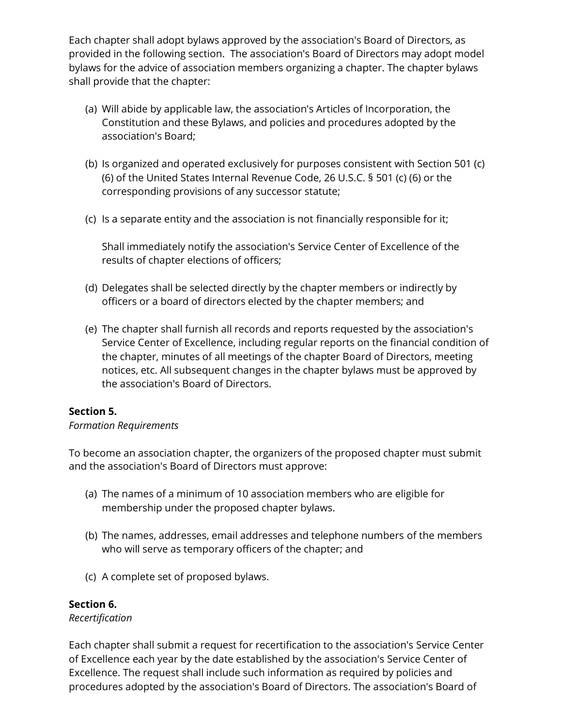Each chapter shall adopt bylaws approved by the association's Board of Directors, as provided in the following section. The association's Board of Directors may adopt model bylaws for the advice of association members organizing a chapter. The chapter bylaws shall provide that the chapter:

- (a) Will abide by applicable law, the association's Articles of Incorporation, the Constitution and these Bylaws, and policies and procedures adopted by the association's Board;
- (b) Is organized and operated exclusively for purposes consistent with Section 501 (c) (6) of the United States Internal Revenue Code, 26 U.S.C. § 501 (c) (6) or the corresponding provisions of any successor statute;
- (c) Is a separate entity and the association is not financially responsible for it;

Shall immediately notify the association's Service Center of Excellence of the results of chapter elections of officers;

- (d) Delegates shall be selected directly by the chapter members or indirectly by officers or a board of directors elected by the chapter members; and
- (e) The chapter shall furnish all records and reports requested by the association's Service Center of Excellence, including regular reports on the financial condition of the chapter, minutes of all meetings of the chapter Board of Directors, meeting notices, etc. All subsequent changes in the chapter bylaws must be approved by the association's Board of Directors.

# **Section 5.**

#### *Formation Requirements*

To become an association chapter, the organizers of the proposed chapter must submit and the association's Board of Directors must approve:

- (a) The names of a minimum of 10 association members who are eligible for membership under the proposed chapter bylaws.
- (b) The names, addresses, email addresses and telephone numbers of the members who will serve as temporary officers of the chapter; and
- (c) A complete set of proposed bylaws.

# **Section 6.**

#### *Recertification*

Each chapter shall submit a request for recertification to the association's Service Center of Excellence each year by the date established by the association's Service Center of Excellence. The request shall include such information as required by policies and procedures adopted by the association's Board of Directors. The association's Board of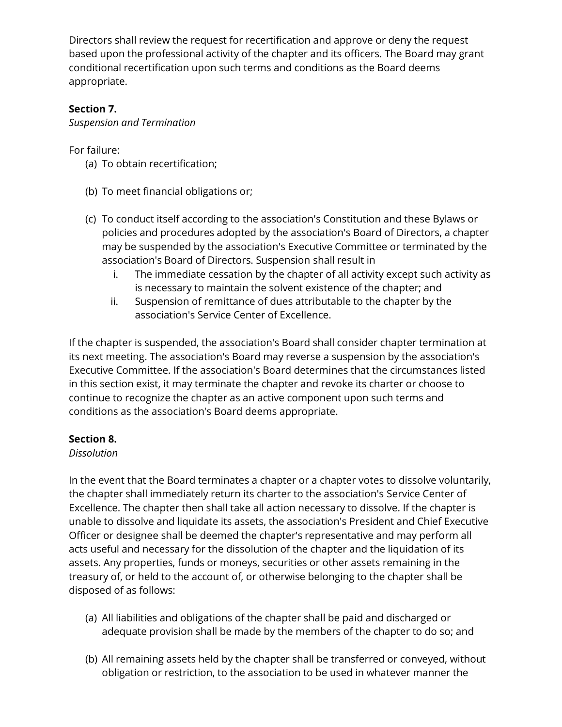Directors shall review the request for recertification and approve or deny the request based upon the professional activity of the chapter and its officers. The Board may grant conditional recertification upon such terms and conditions as the Board deems appropriate.

# **Section 7.**

*Suspension and Termination*

For failure:

- (a) To obtain recertification;
- (b) To meet financial obligations or;
- (c) To conduct itself according to the association's Constitution and these Bylaws or policies and procedures adopted by the association's Board of Directors, a chapter may be suspended by the association's Executive Committee or terminated by the association's Board of Directors. Suspension shall result in
	- i. The immediate cessation by the chapter of all activity except such activity as is necessary to maintain the solvent existence of the chapter; and
	- ii. Suspension of remittance of dues attributable to the chapter by the association's Service Center of Excellence.

If the chapter is suspended, the association's Board shall consider chapter termination at its next meeting. The association's Board may reverse a suspension by the association's Executive Committee. If the association's Board determines that the circumstances listed in this section exist, it may terminate the chapter and revoke its charter or choose to continue to recognize the chapter as an active component upon such terms and conditions as the association's Board deems appropriate.

# **Section 8.**

# *Dissolution*

In the event that the Board terminates a chapter or a chapter votes to dissolve voluntarily, the chapter shall immediately return its charter to the association's Service Center of Excellence. The chapter then shall take all action necessary to dissolve. If the chapter is unable to dissolve and liquidate its assets, the association's President and Chief Executive Officer or designee shall be deemed the chapter's representative and may perform all acts useful and necessary for the dissolution of the chapter and the liquidation of its assets. Any properties, funds or moneys, securities or other assets remaining in the treasury of, or held to the account of, or otherwise belonging to the chapter shall be disposed of as follows:

- (a) All liabilities and obligations of the chapter shall be paid and discharged or adequate provision shall be made by the members of the chapter to do so; and
- (b) All remaining assets held by the chapter shall be transferred or conveyed, without obligation or restriction, to the association to be used in whatever manner the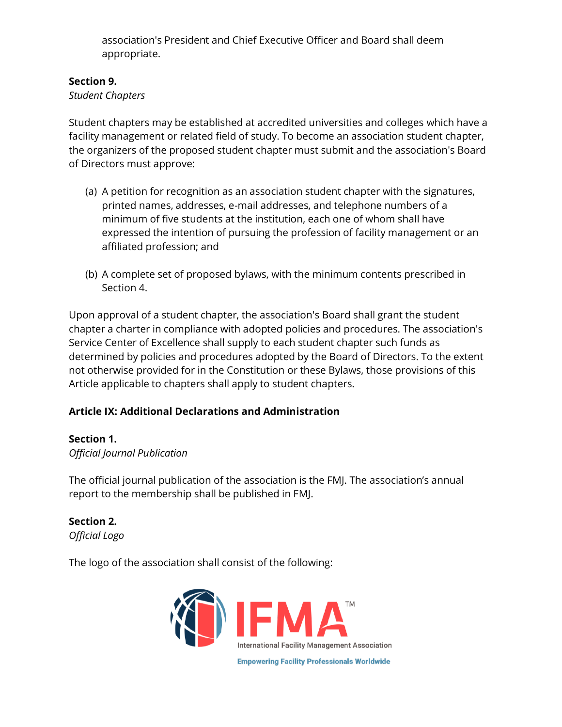association's President and Chief Executive Officer and Board shall deem appropriate.

# **Section 9.**

### *Student Chapters*

Student chapters may be established at accredited universities and colleges which have a facility management or related field of study. To become an association student chapter, the organizers of the proposed student chapter must submit and the association's Board of Directors must approve:

- (a) A petition for recognition as an association student chapter with the signatures, printed names, addresses, e-mail addresses, and telephone numbers of a minimum of five students at the institution, each one of whom shall have expressed the intention of pursuing the profession of facility management or an affiliated profession; and
- (b) A complete set of proposed bylaws, with the minimum contents prescribed in Section 4.

Upon approval of a student chapter, the association's Board shall grant the student chapter a charter in compliance with adopted policies and procedures. The association's Service Center of Excellence shall supply to each student chapter such funds as determined by policies and procedures adopted by the Board of Directors. To the extent not otherwise provided for in the Constitution or these Bylaws, those provisions of this Article applicable to chapters shall apply to student chapters.

# **Article IX: Additional Declarations and Administration**

# **Section 1.**

*Official Journal Publication*

The official journal publication of the association is the FMJ. The association's annual report to the membership shall be published in FMJ.

**Section 2.**  *Official Logo*

The logo of the association shall consist of the following:

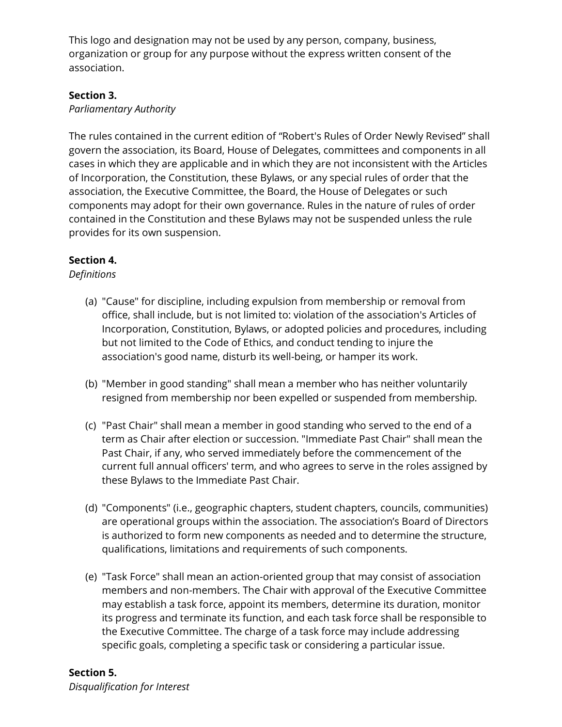This logo and designation may not be used by any person, company, business, organization or group for any purpose without the express written consent of the association.

### **Section 3.**

### *Parliamentary Authority*

The rules contained in the current edition of "Robert's Rules of Order Newly Revised" shall govern the association, its Board, House of Delegates, committees and components in all cases in which they are applicable and in which they are not inconsistent with the Articles of Incorporation, the Constitution, these Bylaws, or any special rules of order that the association, the Executive Committee, the Board, the House of Delegates or such components may adopt for their own governance. Rules in the nature of rules of order contained in the Constitution and these Bylaws may not be suspended unless the rule provides for its own suspension.

# **Section 4.**

### *Definitions*

- (a) "Cause" for discipline, including expulsion from membership or removal from office, shall include, but is not limited to: violation of the association's Articles of Incorporation, Constitution, Bylaws, or adopted policies and procedures, including but not limited to the Code of Ethics, and conduct tending to injure the association's good name, disturb its well-being, or hamper its work.
- (b) "Member in good standing" shall mean a member who has neither voluntarily resigned from membership nor been expelled or suspended from membership.
- (c) "Past Chair" shall mean a member in good standing who served to the end of a term as Chair after election or succession. "Immediate Past Chair" shall mean the Past Chair, if any, who served immediately before the commencement of the current full annual officers' term, and who agrees to serve in the roles assigned by these Bylaws to the Immediate Past Chair.
- (d) "Components" (i.e., geographic chapters, student chapters, councils, communities) are operational groups within the association. The association's Board of Directors is authorized to form new components as needed and to determine the structure, qualifications, limitations and requirements of such components.
- (e) "Task Force" shall mean an action-oriented group that may consist of association members and non-members. The Chair with approval of the Executive Committee may establish a task force, appoint its members, determine its duration, monitor its progress and terminate its function, and each task force shall be responsible to the Executive Committee. The charge of a task force may include addressing specific goals, completing a specific task or considering a particular issue.

# **Section 5.**